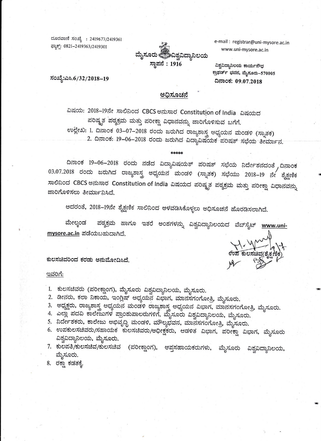ದೂರವಾಣಿ ಸಂಖ್ಯೆ : 2419677/2419361 ಘ್ಞಾಕ್: 0821-2419363/2419301



e-mail: registrar@uni-mysore.ac.in www.uni-mysore.ac.in

ವಿಶ್ವವಿದ್ಯಾನಿಲಯ ಕಾರ್ಯಸೌಧ ಕ್ರಾಫರ್ಡ್ ಭವನ, ಮೈಸೂರು–570005 ದಿನಾಂಕ: 09.07.2018

ಸಂಖ್ಯೆ:ಎಸಿ.6/32/2018–19

#### ಅಧಿಸೂಚನೆ

ವಿಷಯ: 2018-19ನೇ ಸಾಲಿನಿಂದ CBCS ಅನುಸಾರ Constitution of India ವಿಷಯದ ಪರಿಷ್ಕೃತ ಪಠ್ಯಕ್ರಮ ಮತ್ತು ಪರೀಕ್ಷಾ ವಿಧಾನವನ್ನು ಜಾರಿಗೊಳಿಸುವ ಬಗೆಗೆ. ಉಲ್ಲೇಖ: 1. ದಿನಾಂಕ 03–07–2018 ರಂದು ಜರುಗಿದ ರಾಜ್ಯಶಾಸ್ತ್ರ ಅಧ್ಯಯನ ಮಂಡಳಿ (ಸ್ನಾತಕ) 2. ದಿನಾಂಕ: 19-06-2018 ರಂದು ಜರುಗಿದ ವಿದ್ಯಾವಿಷಯಕ ಪರಿಷತ್ ಸಭೆಯ ತೀರ್ಮಾನ.

\*\*\*\*\*

ದಿನಾಂಕ 19-06-2018 ರಂದು ನಡೆದ ವಿದ್ಯಾವಿಷಯತ್ ಪರಿಷತ್ ಸಭೆಯ ನಿರ್ದೇಶನದಂತೆ ,ದಿನಾಂಕ 03.07.2018 ರಂದು ಜರುಗಿದ ರಾಜ್ಯಶಾಸ್ತ್ರ ಅಧ್ಯಯನ ಮಂಡಳಿ (ಸ್ನಾತಕ) ಸಭೆಯು 2018–19 ನೇ ಶೈಕ್ಷಣಿಕ ಸಾಲಿನಿಂದ CBCS ಅನುಸಾರ Constitution of India ವಿಷಯದ ಪರಿಷ್ಕೃತ ಪಠ್ಯಕ್ರಮ ಮತ್ತು ಪರೀಕ್ಷಾ ವಿಧಾನವನ್ನು ಜಾರಿಗೊಳಿಸಲು ತೀರ್ಮಾನಿಸಿದೆ.

ಅದರಂತೆ, 2018–19ನೇ ಶೈಕ್ಷಣಿಕ ಸಾಲಿನಿಂದ ಅಳವಡಿಸಿಕೊಳ್ಳಲು ಅಧಿಸೂಚನೆ ಹೊರಡಿಸಲಾಗಿದೆ.

ಪಠ್ಯಕ್ರಮ ಹಾಗೂ ಇತರೆ ಅಂಶಗಳನ್ನು ವಿಶ್ವವಿದ್ಯಾನಿಲಯದ ವೆಬ್ಸೈಟ್ <u>www.uni-</u> ಮೇಲ್ಕಂಡ mysore.ac.in ಪಡೆಯಬಹುದಾಗಿದೆ.

ಕುಲಸಚಿವರಿಂದ ಕರಡು ಅನುಮೋದಿಸಿದೆ.

#### ಇವರಿಗೆ:

- 1. ಕುಲಸಚಿವರು (ಪರೀಕ್ಷಾಂಗ), ಮೈಸೂರು ವಿಶ್ವವಿದ್ಯಾನಿಲಯ, ಮೈಸೂರು.
- 2. ಡೀನರು, ಕಲಾ ನಿಕಾಯ, ಇಂಗ್ಲಿಷ್ ಅಧ್ಯಯನ ವಿಭಾಗ, ಮಾನಸಗಂಗೋತ್ರಿ, ಮೈಸೂರು.
- 3. ಅಧ್ಯಕ್ಷರು, ರಾಜ್ಯಶಾಸ್ತ್ರ ಅಧ್ಯಯನ ಮಂಡಳಿ ರಾಜ್ಯಶಾಸ್ತ್ರ ಅಧ್ಯಯನ ವಿಭಾಗ, ಮಾನಸಗಂಗೋತ್ರಿ, ಮೈಸೂರು.
- 4. ಎಲ್ಲಾ ಪದವಿ ಕಾಲೇಜುಗಳ ಪ್ರಾಂಶುಪಾಲರುಗಳಿಗೆ, ಮೈಸೂರು ವಿಶ್ವವಿದ್ಯಾನಿಲಯ, ಮೈಸೂರು.
- 5. ನಿರ್ದೇಶಕರು, ಕಾಲೇಜು ಅಭಿವೃದ್ಧಿ ಮಂಡಳಿ, ಮೌಲ್ಯಭವನ, ಮಾನಸಗಂಗೋತ್ರಿ, ಮೈಸೂರು.
- 6. ಉಪಕುಲಸಚಿವರು/ಸಹಾಯಕ ಕುಲಸಚಿವರು/ಅಧೀಕ್ಷಕರು, ಆಡಳಿತ ವಿಭಾಗ, ಪರೀಕ್ಷಾ ವಿಭಾಗ, ಮೈಸೂರು ವಿಶ್ವವಿದ್ಯಾನಿಲಯ, ಮೈಸೂರು.
- 7. ಕುಲಪತಿ/ಕುಲಸಚಿವ/ಕುಲಸಚಿವ (ಪರೀಕ್ಷಾಂಗ), ಆಪ್ತಸಹಾಯಕರುಗಳು, ಮೈಸೂರು ವಿಶ್ವವಿದ್ಯಾನಿಲಯ, ಮೈಸೂರು.
- 8. ರಕ್ಷಾ ಕಡತಕ್ಕೆ.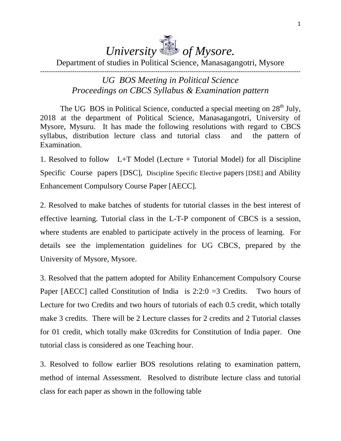# *University of Mysore.*

#### Department of studies in Political Science, Manasagangotri, Mysore --------------------------------------------------------------------------------------------------------------------------

#### *UG BOS Meeting in Political Science Proceedings on CBCS Syllabus & Examination pattern*

The UG BOS in Political Science, conducted a special meeting on  $28<sup>th</sup>$  July, 2018 at the department of Political Science, Manasagangotri, University of Mysore, Mysuru. It has made the following resolutions with regard to CBCS syllabus, distribution lecture class and tutorial class and the pattern of Examination.

1. Resolved to follow L+T Model (Lecture + Tutorial Model) for all Discipline Specific Course papers [DSC], Discipline Specific Elective papers [DSE] and Ability Enhancement Compulsory Course Paper [AECC].

2. Resolved to make batches of students for tutorial classes in the best interest of effective learning. Tutorial class in the L-T-P component of CBCS is a session, where students are enabled to participate actively in the process of learning. For details see the implementation guidelines for UG CBCS, prepared by the University of Mysore, Mysore.

3. Resolved that the pattern adopted for Ability Enhancement Compulsory Course Paper [AECC] called Constitution of India is  $2:2:0 = 3$  Credits. Two hours of Lecture for two Credits and two hours of tutorials of each 0.5 credit, which totally make 3 credits. There will be 2 Lecture classes for 2 credits and 2 Tutorial classes for 01 credit, which totally make 03credits for Constitution of India paper. One tutorial class is considered as one Teaching hour.

3. Resolved to follow earlier BOS resolutions relating to examination pattern, method of internal Assessment. Resolved to distribute lecture class and tutorial class for each paper as shown in the following table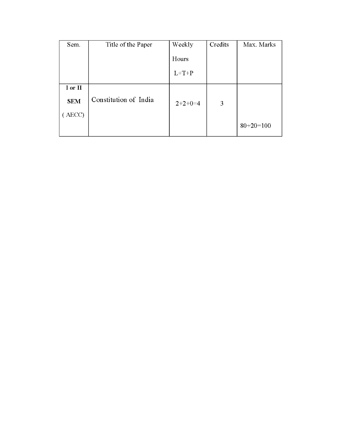| Sem.       | Title of the Paper    | Weekly    | Credits | Max. Marks  |
|------------|-----------------------|-----------|---------|-------------|
|            |                       | Hours     |         |             |
|            |                       | $L+T+P$   |         |             |
| I or II    |                       |           |         |             |
| <b>SEM</b> | Constitution of India | $2+2+0=4$ | 3       |             |
| AECC)      |                       |           |         |             |
|            |                       |           |         | $80+20=100$ |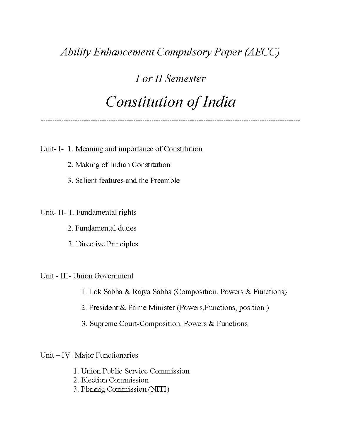## **Ability Enhancement Compulsory Paper (AECC)**

## I or II Semester **Constitution of India**

Unit- I- 1. Meaning and importance of Constitution

- 2. Making of Indian Constitution
- 3. Salient features and the Preamble

#### Unit-II-1. Fundamental rights

- 2. Fundamental duties
- 3. Directive Principles

#### Unit - III- Union Government

- 1. Lok Sabha & Rajya Sabha (Composition, Powers & Functions)
- 2. President & Prime Minister (Powers, Functions, position)
- 3. Supreme Court-Composition, Powers & Functions

Unit - IV- Major Functionaries

- 1. Union Public Service Commission
- 2. Election Commission
- 3. Plannig Commission (NITI)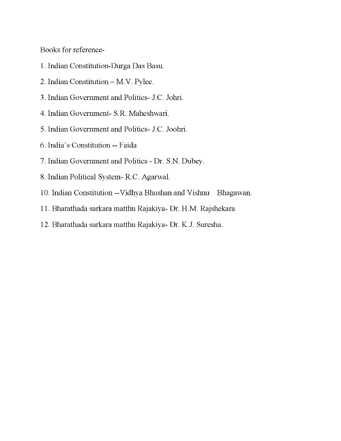Books for reference-

- 1. Indian Constitution-Durga Das Basu.
- 2. Indian Constitution M.V. Pylee.
- 3. Indian Government and Politics- J.C. Johri.
- 4. Indian Government- S.R. Maheshwari.
- 5. Indian Government and Politics- J.C. Joohri.
- 6. India's Constitution -- Faida
- 7. Indian Government and Politics Dr. S.N. Dubey.
- 8. Indian Political System-R.C. Agarwal.
- 10. Indian Constitution -- Vidhya Bhushan and Vishnu Bhagawan.
- 11. Bharathada sarkara matthu Rajakiya- Dr. H.M. Rajshekara
- 12. Bharathada sarkara matthu Rajakiya- Dr. K.J. Suresha.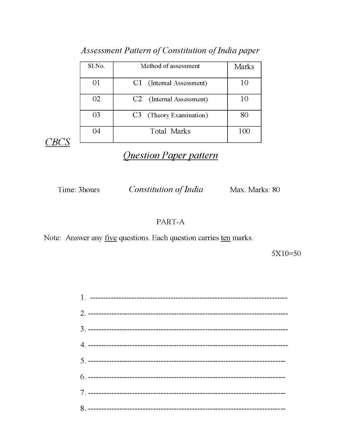| Sl.No.   | Method of assessment                 | <b>Marks</b> |
|----------|--------------------------------------|--------------|
| $\Omega$ | C1 (Internal Assessment)             | 10           |
| 02       | C <sub>2</sub> (Internal Assessment) | 10           |
| 03       | C3 (Theory Examination)              | 80           |
| 04       | <b>Total Marks</b>                   | 100          |

#### Assessment Pattern of Constitution of India paper

CBCS

### **Question Paper pattern**

Time: 3hours

**Constitution of India** Max. Marks: 80

#### PART-A

Note: Answer any <u>five</u> questions. Each question carries ten marks.

 $5X10=50$